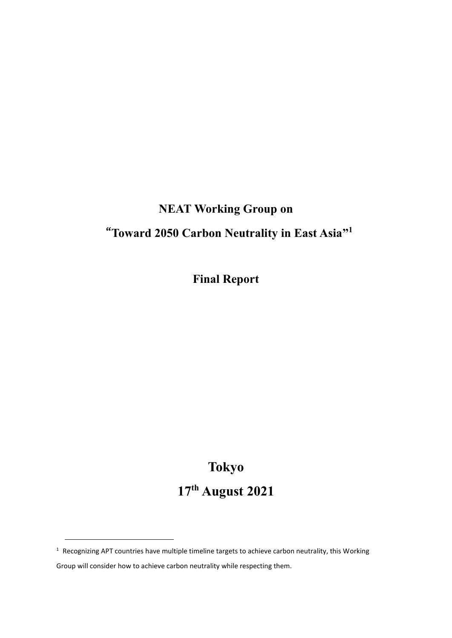# **NEAT Working Group on**

# "**Toward 2050 Carbon Neutrality in East Asia" 1**

**Final Report**

# **Tokyo 17 th August 2021**

 $1$  Recognizing APT countries have multiple timeline targets to achieve carbon neutrality, this Working

Group will consider how to achieve carbon neutrality while respecting them.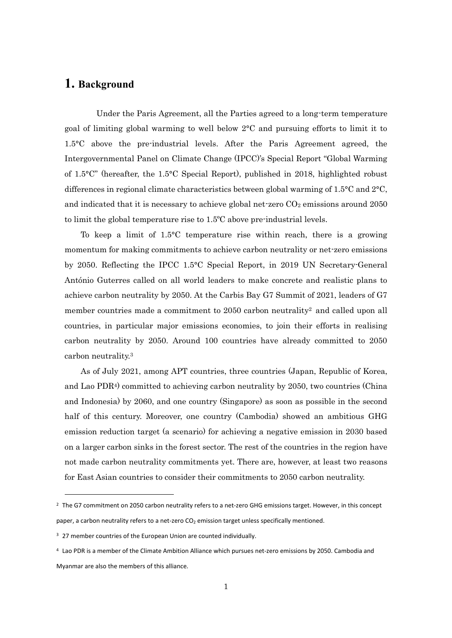## **1. Background**

Under the Paris Agreement, all the Parties agreed to a long-term temperature goal of limiting global warming to well below 2°C and pursuing efforts to limit it to 1.5°C above the pre-industrial levels. After the Paris Agreement agreed, the Intergovernmental Panel on Climate Change (IPCC)'s Special Report "Global Warming of 1.5°C" (hereafter, the 1.5°C Special Report), published in 2018, highlighted robust differences in regional climate characteristics between global warming of 1.5°C and 2°C, and indicated that it is necessary to achieve global net-zero  $CO<sub>2</sub>$  emissions around 2050 to limit the global temperature rise to 1.5ºC above pre-industrial levels.

To keep a limit of 1.5°C temperature rise within reach, there is a growing momentum for making commitments to achieve carbon neutrality or net-zero emissions by 2050. Reflecting the IPCC 1.5°C Special Report, in 2019 UN Secretary-General António Guterres called on all world leaders to make concrete and realistic plans to achieve carbon neutrality by 2050. At the Carbis Bay G7 Summit of 2021, leaders of G7 member countries made a commitment to 2050 carbon neutrality<sup>2</sup> and called upon all countries, in particular major emissions economies, to join their efforts in realising carbon neutrality by 2050. Around 100 countries have already committed to 2050 carbon neutrality.<sup>3</sup>

As of July 2021, among APT countries, three countries (Japan, Republic of Korea, and Lao PDR4) committed to achieving carbon neutrality by 2050, two countries (China and Indonesia) by 2060, and one country (Singapore) as soon as possible in the second half of this century. Moreover, one country (Cambodia) showed an ambitious GHG emission reduction target (a scenario) for achieving a negative emission in 2030 based on a larger carbon sinks in the forest sector. The rest of the countries in the region have not made carbon neutrality commitments yet. There are, however, at least two reasons for East Asian countries to consider their commitments to 2050 carbon neutrality.

<sup>&</sup>lt;sup>2</sup> The G7 commitment on 2050 carbon neutrality refers to a net-zero GHG emissions target. However, in this concept paper, a carbon neutrality refers to a net-zero CO<sub>2</sub> emission target unless specifically mentioned.

<sup>&</sup>lt;sup>3</sup> 27 member countries of the European Union are counted individually.

<sup>4</sup> Lao PDR is a member of the Climate Ambition Alliance which pursues net-zero emissions by 2050. Cambodia and Myanmar are also the members of this alliance.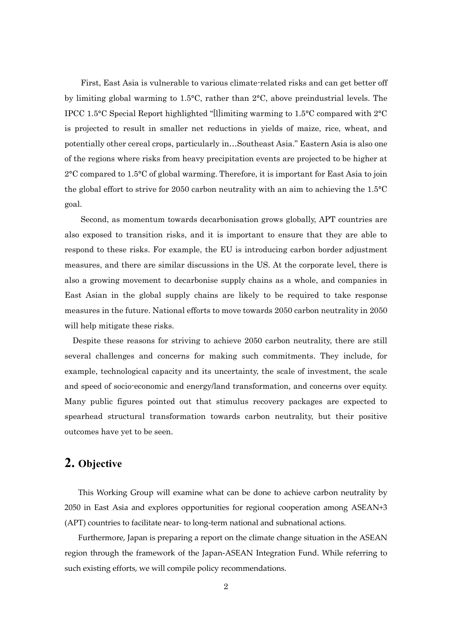First, East Asia is vulnerable to various climate-related risks and can get better off by limiting global warming to 1.5°C, rather than 2°C, above preindustrial levels. The IPCC 1.5°C Special Report highlighted "[l]imiting warming to 1.5°C compared with 2°C is projected to result in smaller net reductions in yields of maize, rice, wheat, and potentially other cereal crops, particularly in…Southeast Asia." Eastern Asia is also one of the regions where risks from heavy precipitation events are projected to be higher at 2°C compared to 1.5°C of global warming. Therefore, it is important for East Asia to join the global effort to strive for 2050 carbon neutrality with an aim to achieving the 1.5°C goal.

Second, as momentum towards decarbonisation grows globally, APT countries are also exposed to transition risks, and it is important to ensure that they are able to respond to these risks. For example, the EU is introducing carbon border adjustment measures, and there are similar discussions in the US. At the corporate level, there is also a growing movement to decarbonise supply chains as a whole, and companies in East Asian in the global supply chains are likely to be required to take response measures in the future. National efforts to move towards 2050 carbon neutrality in 2050 will help mitigate these risks.

Despite these reasons for striving to achieve 2050 carbon neutrality, there are still several challenges and concerns for making such commitments. They include, for example, technological capacity and its uncertainty, the scale of investment, the scale and speed of socio-economic and energy/land transformation, and concerns over equity. Many public figures pointed out that stimulus recovery packages are expected to spearhead structural transformation towards carbon neutrality, but their positive outcomes have yet to be seen.

## **2. Objective**

This Working Group will examine what can be done to achieve carbon neutrality by 2050 in East Asia and explores opportunities for regional cooperation among ASEAN+3 (APT) countries to facilitate near- to long-term national and subnational actions.

Furthermore, Japan is preparing a report on the climate change situation in the ASEAN region through the framework of the Japan-ASEAN Integration Fund. While referring to such existing efforts, we will compile policy recommendations.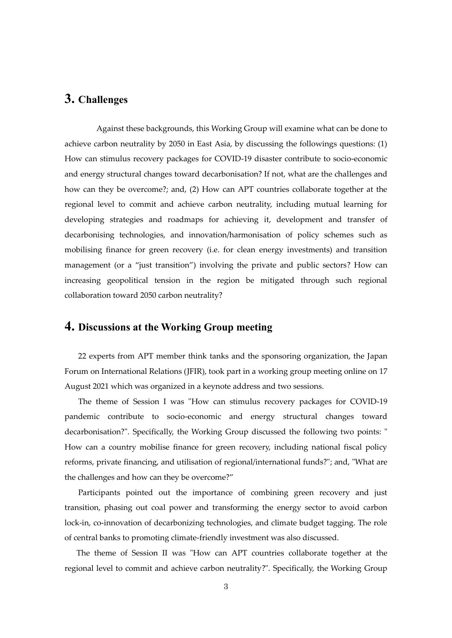# **3. Challenges**

Against these backgrounds, this Working Group will examine what can be done to achieve carbon neutrality by 2050 in East Asia, by discussing the followings questions: (1) How can stimulus recovery packages for COVID-19 disaster contribute to socio-economic and energy structural changes toward decarbonisation? If not, what are the challenges and how can they be overcome?; and, (2) How can APT countries collaborate together at the regional level to commit and achieve carbon neutrality, including mutual learning for developing strategies and roadmaps for achieving it, development and transfer of decarbonising technologies, and innovation/harmonisation of policy schemes such as mobilising finance for green recovery (i.e. for clean energy investments) and transition management (or a "just transition") involving the private and public sectors? How can increasing geopolitical tension in the region be mitigated through such regional collaboration toward 2050 carbon neutrality?

## **4. Discussions at the Working Group meeting**

22 experts from APT member think tanks and the sponsoring organization, the Japan Forum on International Relations (JFIR), took part in a working group meeting online on 17 August 2021 which was organized in a keynote address and two sessions.

The theme of Session I was "How can stimulus recovery packages for COVID-19 pandemic contribute to socio-economic and energy structural changes toward decarbonisation?". Specifically, the Working Group discussed the following two points: " How can a country mobilise finance for green recovery, including national fiscal policy reforms, private financing, and utilisation of regional/international funds?"; and, "What are the challenges and how can they be overcome?"

Participants pointed out the importance of combining green recovery and just transition, phasing out coal power and transforming the energy sector to avoid carbon lock-in, co-innovation of decarbonizing technologies, and climate budget tagging. The role of central banks to promoting climate-friendly investment was also discussed.

The theme of Session II was "How can APT countries collaborate together at the regional level to commit and achieve carbon neutrality?". Specifically, the Working Group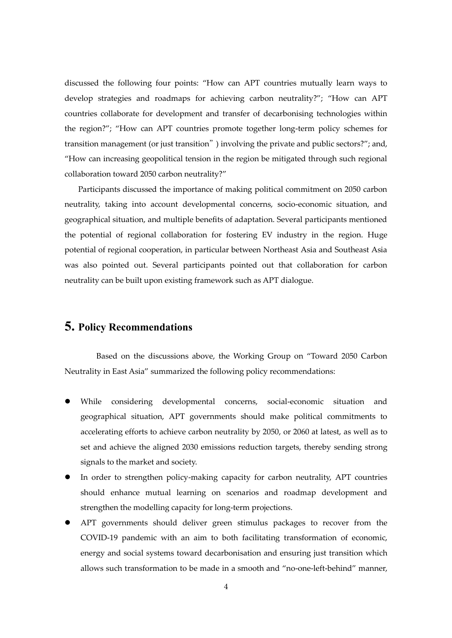discussed the following four points: "How can APT countries mutually learn ways to develop strategies and roadmaps for achieving carbon neutrality?"; "How can APT countries collaborate for development and transfer of decarbonising technologies within the region?"; "How can APT countries promote together long-term policy schemes for transition management (or just transition") involving the private and public sectors?"; and, "How can increasing geopolitical tension in the region be mitigated through such regional collaboration toward 2050 carbon neutrality?"

Participants discussed the importance of making political commitment on 2050 carbon neutrality, taking into account developmental concerns, socio-economic situation, and geographical situation, and multiple benefits of adaptation. Several participants mentioned the potential of regional collaboration for fostering EV industry in the region. Huge potential of regional cooperation, in particular between Northeast Asia and Southeast Asia was also pointed out. Several participants pointed out that collaboration for carbon neutrality can be built upon existing framework such as APT dialogue.

## **5. Policy Recommendations**

Based on the discussions above, the Working Group on "Toward 2050 Carbon Neutrality in East Asia" summarized the following policy recommendations:

- ⚫ While considering developmental concerns, social-economic situation and geographical situation, APT governments should make political commitments to accelerating efforts to achieve carbon neutrality by 2050, or 2060 at latest, as well as to set and achieve the aligned 2030 emissions reduction targets, thereby sending strong signals to the market and society.
- ⚫ In order to strengthen policy-making capacity for carbon neutrality, APT countries should enhance mutual learning on scenarios and roadmap development and strengthen the modelling capacity for long-term projections.
- ⚫ APT governments should deliver green stimulus packages to recover from the COVID-19 pandemic with an aim to both facilitating transformation of economic, energy and social systems toward decarbonisation and ensuring just transition which allows such transformation to be made in a smooth and "no-one-left-behind" manner,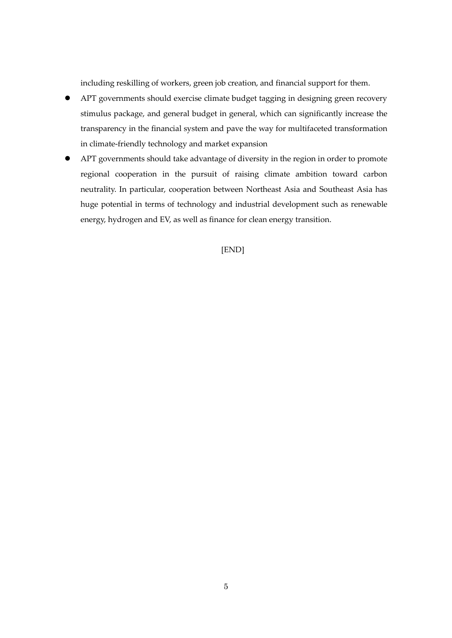including reskilling of workers, green job creation, and financial support for them.

- ⚫ APT governments should exercise climate budget tagging in designing green recovery stimulus package, and general budget in general, which can significantly increase the transparency in the financial system and pave the way for multifaceted transformation in climate-friendly technology and market expansion
- ⚫ APT governments should take advantage of diversity in the region in order to promote regional cooperation in the pursuit of raising climate ambition toward carbon neutrality. In particular, cooperation between Northeast Asia and Southeast Asia has huge potential in terms of technology and industrial development such as renewable energy, hydrogen and EV, as well as finance for clean energy transition.

#### [END]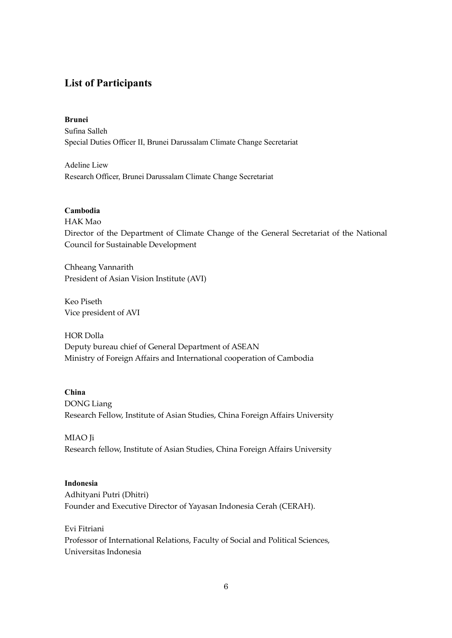## **List of Participants**

#### **Brunei**

Sufina Salleh Special Duties Officer II, Brunei Darussalam Climate Change Secretariat

Adeline Liew Research Officer, Brunei Darussalam Climate Change Secretariat

#### **Cambodia**

HAK Mao Director of the Department of Climate Change of the General Secretariat of the National Council for Sustainable Development

Chheang Vannarith President of Asian Vision Institute (AVI)

Keo Piseth Vice president of AVI

HOR Dolla Deputy bureau chief of General Department of ASEAN Ministry of Foreign Affairs and International cooperation of Cambodia

#### **China**

DONG Liang

Research Fellow, Institute of Asian Studies, China Foreign Affairs University

MIAO Ji Research fellow, Institute of Asian Studies, China Foreign Affairs University

#### **Indonesia**

Adhityani Putri (Dhitri) Founder and Executive Director of Yayasan Indonesia Cerah (CERAH).

#### Evi Fitriani

Professor of International Relations, Faculty of Social and Political Sciences, Universitas Indonesia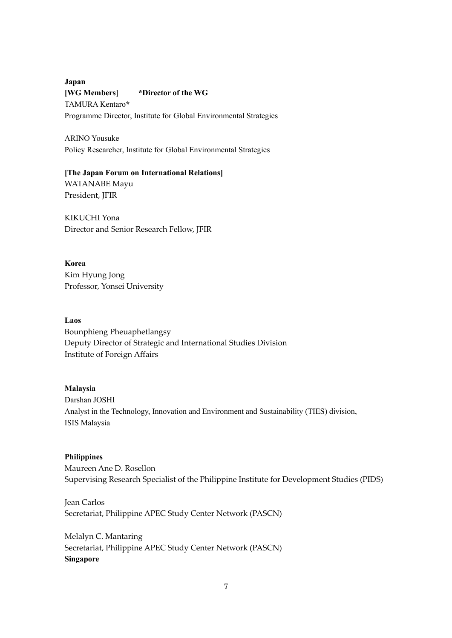**Japan [WG Members] \*Director of the WG** TAMURA Kentaro**\*** Programme Director, Institute for Global Environmental Strategies

ARINO Yousuke Policy Researcher, Institute for Global Environmental Strategies

**[The Japan Forum on International Relations]** WATANABE Mayu

President, JFIR

KIKUCHI Yona Director and Senior Research Fellow, JFIR

**Korea** Kim Hyung Jong Professor, Yonsei University

#### **Laos**

Bounphieng Pheuaphetlangsy Deputy Director of Strategic and International Studies Division Institute of Foreign Affairs

#### **Malaysia**

Darshan JOSHI Analyst in the Technology, Innovation and Environment and Sustainability (TIES) division, ISIS Malaysia

#### **Philippines**

Maureen Ane D. Rosellon Supervising Research Specialist of the Philippine Institute for Development Studies (PIDS)

Jean Carlos Secretariat, Philippine APEC Study Center Network (PASCN)

Melalyn C. Mantaring Secretariat, Philippine APEC Study Center Network (PASCN) **Singapore**